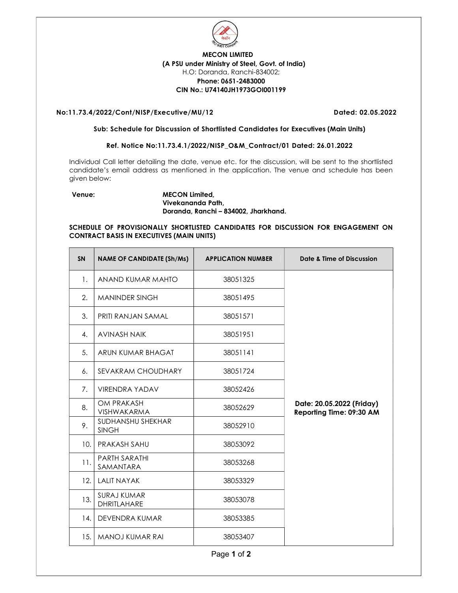

# MECON LIMITED (A PSU under Ministry of Steel, Govt. of India) H.O: Doranda, Ranchi-834002; Phone: 0651-2483000 CIN No.: U74140JH1973GOI001199

# No:11.73.4/2022/Cont/NISP/Executive/MU/12 Dated: 02.05.2022

#### Sub: Schedule for Discussion of Shortlisted Candidates for Executives (Main Units)

# Ref. Notice No:11.73.4.1/2022/NISP\_O&M\_Contract/01 Dated: 26.01.2022

Individual Call letter detailing the date, venue etc. for the discussion, will be sent to the shortlisted candidate's email address as mentioned in the application. The venue and schedule has been given below:

### Venue: MECON Limited, Vivekananda Path, Doranda, Ranchi – 834002, Jharkhand.

## SCHEDULE OF PROVISIONALLY SHORTLISTED CANDIDATES FOR DISCUSSION FOR ENGAGEMENT ON CONTRACT BASIS IN EXECUTIVES (MAIN UNITS)

| <b>SN</b> | <b>NAME OF CANDIDATE (Sh/Ms)</b>  | <b>APPLICATION NUMBER</b> | Date & Time of Discussion                             |
|-----------|-----------------------------------|---------------------------|-------------------------------------------------------|
| 1.        | ANAND KUMAR MAHTO                 | 38051325                  |                                                       |
| 2.        | <b>MANINDER SINGH</b>             | 38051495                  |                                                       |
| 3.        | PRITI RANJAN SAMAL                | 38051571                  |                                                       |
| 4.        | <b>AVINASH NAIK</b>               | 38051951                  |                                                       |
| 5.        | ARUN KUMAR BHAGAT                 | 38051141                  |                                                       |
| 6.        | SEVAKRAM CHOUDHARY                | 38051724                  |                                                       |
| 7.        | <b>VIRENDRA YADAV</b>             | 38052426                  |                                                       |
| 8.        | OM PRAKASH<br>VISHWAKARMA         | 38052629                  | Date: 20.05.2022 (Friday)<br>Reporting Time: 09:30 AM |
| 9.        | SUDHANSHU SHEKHAR<br><b>SINGH</b> | 38052910                  |                                                       |
| 10.       | PRAKASH SAHU                      | 38053092                  |                                                       |
| 11.       | <b>PARTH SARATHI</b><br>SAMANTARA | 38053268                  |                                                       |
| 12.       | <b>LALIT NAYAK</b>                | 38053329                  |                                                       |
| 13.       | <b>SURAJ KUMAR</b><br>DHRITLAHARE | 38053078                  |                                                       |
| 14.       | DEVENDRA KUMAR                    | 38053385                  |                                                       |
| 15.       | <b>MANOJ KUMAR RAI</b>            | 38053407                  |                                                       |

Page 1 of 2